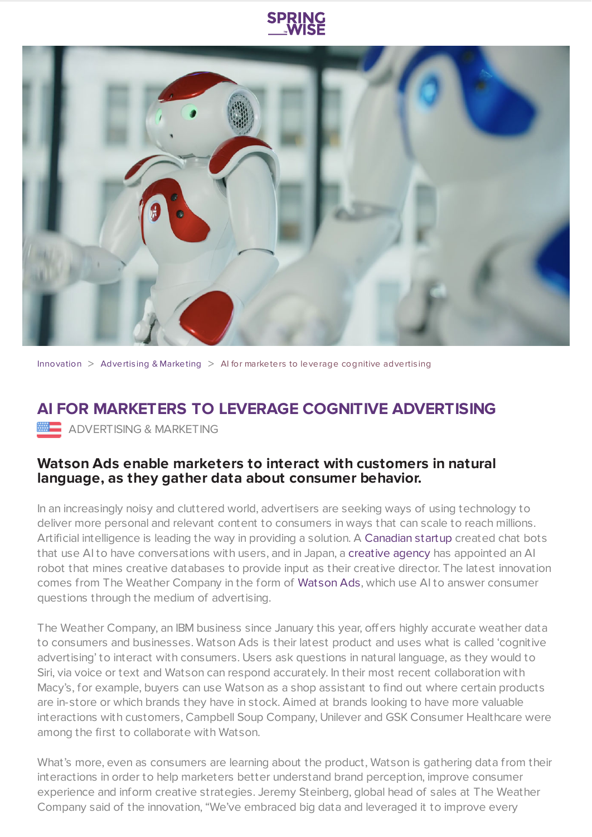



[Innovation](https://www.springwise.com/search?type=innovation)  $>$  Advertising & [Marketing](https://www.springwise.com/search?type=innovation§or=advertising-and-marketing)  $>$  AI for marketers to leverage cognitive advertising

## **AI FOR MARKETERS TO LEVERAGE COGNITIVE ADVERTISING MARKETING** & MARKETING

## **Watson Ads enable marketers to interact with customers in natural language, as they gather data about consumer behavior.**

In an increasingly noisy and cluttered world, advertisers are seeking ways of using technology to deliver more personal and relevant content to consumers in ways that can scale to reach millions. Artificial intelligence is leading the way in providing a solution. A [Canadian](https://www.springwise.com/new-innovation-helps-brands-engage-consumers/) startup created chat bots that use AI to have conversations with users, and in Japan, a [creative](https://www.springwise.com/japan-artificial-intelligence-appointed-creative-director/) agency has appointed an AI robot that mines creative databases to provide input as their creative director. The latest innovation comes from The Weather Company in the form of [Watson](http://www.ibm.com/watson/) Ads, which use AI to answer consumer questions through the medium of advertising.

The Weather Company, an IBM business since January this year, offers highly accurate weather data to consumers and businesses. Watson Ads is their latest product and uses what is called 'cognitive advertising' to interact with consumers. Users ask questions in natural language, as they would to Siri, via voice or text and Watson can respond accurately. In their most recent collaboration with Macy's, for example, buyers can use Watson as a shop assistant to find out where certain products are in-store or which brands they have in stock. Aimed at brands looking to have more valuable interactions with customers, Campbell Soup Company, Unilever and GSK Consumer Healthcare were among the first to collaborate with Watson.

What's more, even as consumers are learning about the product, Watson is gathering data from their interactions in order to help marketers better understand brand perception, improve consumer experience and inform creative strategies. Jeremy Steinberg, global head of sales at The Weather Company said of the innovation, "We've embraced big data and leveraged it to improve every